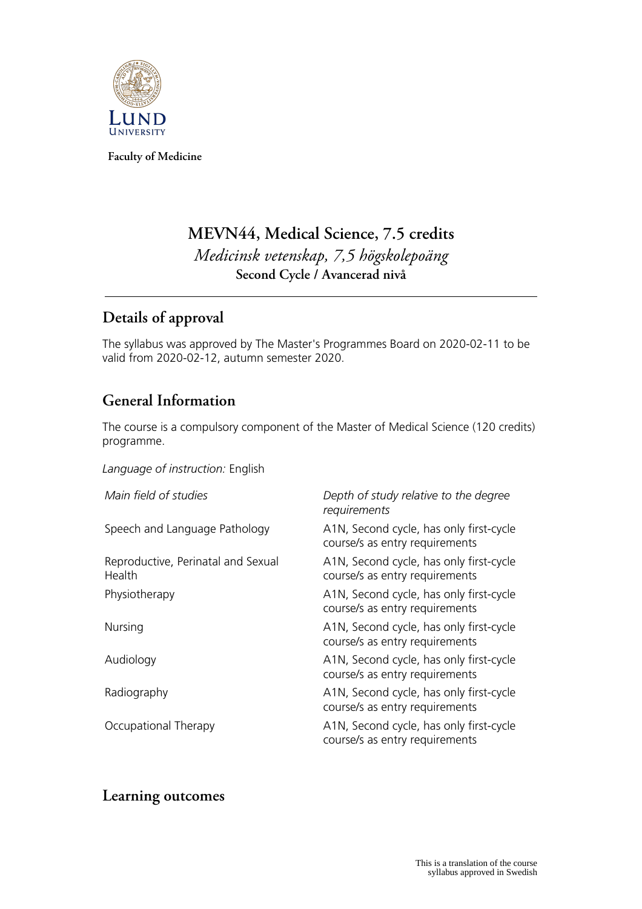

**Faculty of Medicine**

# **MEVN44, Medical Science, 7.5 credits** *Medicinsk vetenskap, 7,5 högskolepoäng* **Second Cycle / Avancerad nivå**

# **Details of approval**

The syllabus was approved by The Master's Programmes Board on 2020-02-11 to be valid from 2020-02-12, autumn semester 2020.

# **General Information**

The course is a compulsory component of the Master of Medical Science (120 credits) programme.

*Language of instruction:* English

| Main field of studies                        | Depth of study relative to the degree<br>requirements                     |
|----------------------------------------------|---------------------------------------------------------------------------|
| Speech and Language Pathology                | A1N, Second cycle, has only first-cycle<br>course/s as entry requirements |
| Reproductive, Perinatal and Sexual<br>Health | A1N, Second cycle, has only first-cycle<br>course/s as entry requirements |
| Physiotherapy                                | A1N, Second cycle, has only first-cycle<br>course/s as entry requirements |
| Nursing                                      | A1N, Second cycle, has only first-cycle<br>course/s as entry requirements |
| Audiology                                    | A1N, Second cycle, has only first-cycle<br>course/s as entry requirements |
| Radiography                                  | A1N, Second cycle, has only first-cycle<br>course/s as entry requirements |
| Occupational Therapy                         | A1N, Second cycle, has only first-cycle<br>course/s as entry requirements |

## **Learning outcomes**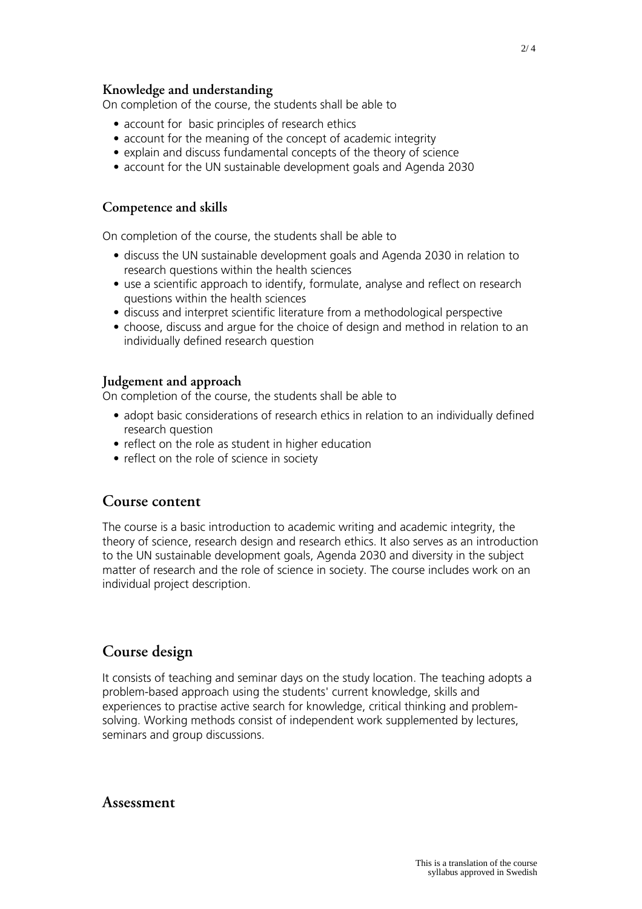#### **Knowledge and understanding**

On completion of the course, the students shall be able to

- account for basic principles of research ethics
- account for the meaning of the concept of academic integrity
- explain and discuss fundamental concepts of the theory of science
- account for the UN sustainable development goals and Agenda 2030

### **Competence and skills**

On completion of the course, the students shall be able to

- discuss the UN sustainable development goals and Agenda 2030 in relation to research questions within the health sciences
- use a scientific approach to identify, formulate, analyse and reflect on research questions within the health sciences
- discuss and interpret scientific literature from a methodological perspective
- choose, discuss and argue for the choice of design and method in relation to an individually defined research question

#### **Judgement and approach**

On completion of the course, the students shall be able to

- adopt basic considerations of research ethics in relation to an individually defined research question
- reflect on the role as student in higher education
- reflect on the role of science in society

### **Course content**

The course is a basic introduction to academic writing and academic integrity, the theory of science, research design and research ethics. It also serves as an introduction to the UN sustainable development goals, Agenda 2030 and diversity in the subject matter of research and the role of science in society. The course includes work on an individual project description.

## **Course design**

It consists of teaching and seminar days on the study location. The teaching adopts a problem-based approach using the students' current knowledge, skills and experiences to practise active search for knowledge, critical thinking and problemsolving. Working methods consist of independent work supplemented by lectures, seminars and group discussions.

#### **Assessment**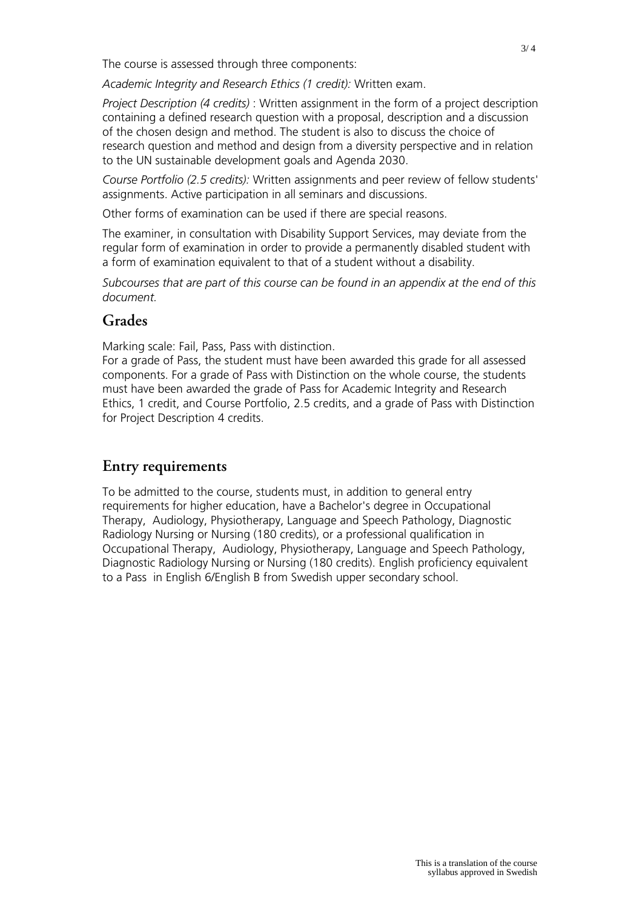The course is assessed through three components:

*Academic Integrity and Research Ethics (1 credit):* Written exam.

*Project Description (4 credits)* : Written assignment in the form of a project description containing a defined research question with a proposal, description and a discussion of the chosen design and method. The student is also to discuss the choice of research question and method and design from a diversity perspective and in relation to the UN sustainable development goals and Agenda 2030.

*Course Portfolio (2.5 credits):* Written assignments and peer review of fellow students' assignments. Active participation in all seminars and discussions.

Other forms of examination can be used if there are special reasons.

The examiner, in consultation with Disability Support Services, may deviate from the regular form of examination in order to provide a permanently disabled student with a form of examination equivalent to that of a student without a disability.

*Subcourses that are part of this course can be found in an appendix at the end of this document.*

## **Grades**

Marking scale: Fail, Pass, Pass with distinction.

For a grade of Pass, the student must have been awarded this grade for all assessed components. For a grade of Pass with Distinction on the whole course, the students must have been awarded the grade of Pass for Academic Integrity and Research Ethics, 1 credit, and Course Portfolio, 2.5 credits, and a grade of Pass with Distinction for Project Description 4 credits.

## **Entry requirements**

To be admitted to the course, students must, in addition to general entry requirements for higher education, have a Bachelor's degree in Occupational Therapy, Audiology, Physiotherapy, Language and Speech Pathology, Diagnostic Radiology Nursing or Nursing (180 credits), or a professional qualification in Occupational Therapy, Audiology, Physiotherapy, Language and Speech Pathology, Diagnostic Radiology Nursing or Nursing (180 credits). English proficiency equivalent to a Pass in English 6/English B from Swedish upper secondary school.